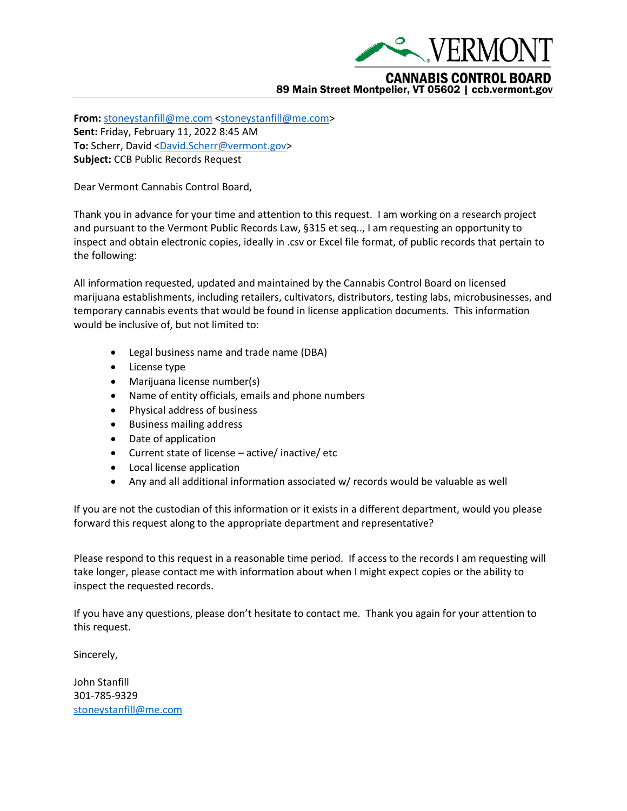

**From:** [stoneystanfill@me.com](mailto:stoneystanfill@me.com) [<stoneystanfill@me.com>](mailto:stoneystanfill@me.com) **Sent:** Friday, February 11, 2022 8:45 AM

To: Scherr, David [<David.Scherr@vermont.gov>](mailto:David.Scherr@vermont.gov)

**Subject:** CCB Public Records Request

Dear Vermont Cannabis Control Board,

Thank you in advance for your time and attention to this request. I am working on a research project and pursuant to the Vermont Public Records Law, §315 et seq.., I am requesting an opportunity to inspect and obtain electronic copies, ideally in .csv or Excel file format, of public records that pertain to the following:

All information requested, updated and maintained by the Cannabis Control Board on licensed marijuana establishments, including retailers, cultivators, distributors, testing labs, microbusinesses, and temporary cannabis events that would be found in license application documents. This information would be inclusive of, but not limited to:

- Legal business name and trade name (DBA)
- License type
- Marijuana license number(s)
- Name of entity officials, emails and phone numbers
- Physical address of business
- Business mailing address
- Date of application
- Current state of license active/ inactive/ etc
- Local license application
- Any and all additional information associated w/ records would be valuable as well

If you are not the custodian of this information or it exists in a different department, would you please forward this request along to the appropriate department and representative?

Please respond to this request in a reasonable time period. If access to the records I am requesting will take longer, please contact me with information about when I might expect copies or the ability to inspect the requested records.

If you have any questions, please don't hesitate to contact me. Thank you again for your attention to this request.

Sincerely,

John Stanfill 301-785-9329 [stoneystanfill@me.com](mailto:stoneystanfill@me.com)